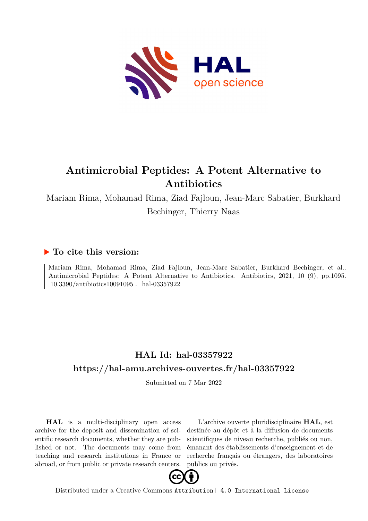

# **Antimicrobial Peptides: A Potent Alternative to Antibiotics**

Mariam Rima, Mohamad Rima, Ziad Fajloun, Jean-Marc Sabatier, Burkhard Bechinger, Thierry Naas

### **To cite this version:**

Mariam Rima, Mohamad Rima, Ziad Fajloun, Jean-Marc Sabatier, Burkhard Bechinger, et al.. Antimicrobial Peptides: A Potent Alternative to Antibiotics. Antibiotics, 2021, 10 (9), pp.1095.  $10.3390/$ antibiotics10091095. hal-03357922

## **HAL Id: hal-03357922 <https://hal-amu.archives-ouvertes.fr/hal-03357922>**

Submitted on 7 Mar 2022

**HAL** is a multi-disciplinary open access archive for the deposit and dissemination of scientific research documents, whether they are published or not. The documents may come from teaching and research institutions in France or abroad, or from public or private research centers.

L'archive ouverte pluridisciplinaire **HAL**, est destinée au dépôt et à la diffusion de documents scientifiques de niveau recherche, publiés ou non, émanant des établissements d'enseignement et de recherche français ou étrangers, des laboratoires publics ou privés.



Distributed under a Creative Commons [Attribution| 4.0 International License](http://creativecommons.org/licenses/by/4.0/)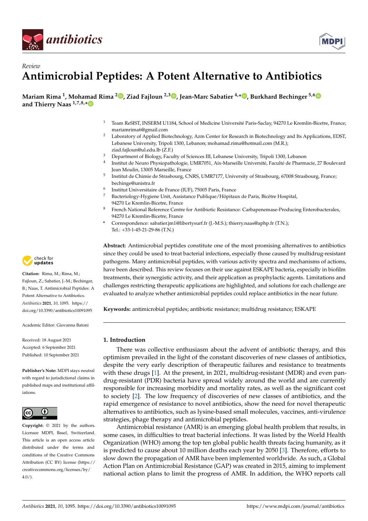



## *Review* **Antimicrobial Peptides: A Potent Alternative to Antibiotics**

**Mariam Rima <sup>1</sup> , Mohamad Rima <sup>2</sup> [,](https://orcid.org/0000-0002-0335-9882) Ziad Fajloun 2,3 [,](https://orcid.org/0000-0002-6502-3110) Jean-Marc Sabatier 4,\* [,](https://orcid.org/0000-0002-9040-5647) Burkhard Bechinger 5,[6](https://orcid.org/0000-0001-5719-6073) and Thierry Naas 1,7,8,[\\*](https://orcid.org/0000-0001-9937-9572)**

- <sup>1</sup> Team ReSIST, INSERM U1184, School of Medicine Université Paris-Saclay, 94270 Le Kremlin-Bicetre, France; mariamrima6@gmail.com
- <sup>2</sup> Laboratory of Applied Biotechnology, Azm Center for Research in Biotechnology and Its Applications, EDST, Lebanese University, Tripoli 1300, Lebanon; mohamad.rima@hotmail.com (M.R.); ziad.fajloun@ul.edu.lb (Z.F.)
- <sup>3</sup> Department of Biology, Faculty of Sciences III, Lebanese University, Tripoli 1300, Lebanon
- 4 Institut de Neuro Physiopathologie, UMR7051, Aix-Marseille Université, Faculté de Pharmacie, 27 Boulevard Jean Moulin, 13005 Marseille, France
- 5 Institut de Chimie de Strasbourg, CNRS, UMR7177, University of Strasbourg, 67008 Strasbourg, France; bechinge@unistra.fr
- 6 Institut Universitaire de France (IUF), 75005 Paris, France
- <sup>7</sup> Bacteriology-Hygiene Unit, Assistance Publique/Hôpitaux de Paris, Bicêtre Hospital, 94270 Le Kremlin-Bicetre, France
- 8 French National Reference Centre for Antibiotic Resistance: Carbapenemase-Producing Enterobacterales, 94270 Le Kremlin-Bicetre, France
- **\*** Correspondence: sabatier.jm1@libertysurf.fr (J.-M.S.); thierry.naas@aphp.fr (T.N.); Tel.: +33-1-45-21-29-86 (T.N.)

**Abstract:** Antimicrobial peptides constitute one of the most promising alternatives to antibiotics since they could be used to treat bacterial infections, especially those caused by multidrug-resistant pathogens. Many antimicrobial peptides, with various activity spectra and mechanisms of actions, have been described. This review focuses on their use against ESKAPE bacteria, especially in biofilm treatments, their synergistic activity, and their application as prophylactic agents. Limitations and challenges restricting therapeutic applications are highlighted, and solutions for each challenge are evaluated to analyze whether antimicrobial peptides could replace antibiotics in the near future.

**Keywords:** antimicrobial peptides; antibiotic resistance; multidrug resistance; ESKAPE

#### **1. Introduction**

There was collective enthusiasm about the advent of antibiotic therapy, and this optimism prevailed in the light of the constant discoveries of new classes of antibiotics, despite the very early description of therapeutic failures and resistance to treatments with these drugs [1]. At the present, in 2021, multidrug-resistant (MDR) and even pandrug-resistant (PDR) bacteria have spread widely around the world and are currently responsible for increasing morbidity and mortality rates, as well as the significant cost to society [2]. The low frequency of discoveries of new classes of antibiotics, and the rapid emergence of resistance to novel antibiotics, show the need for novel therapeutic alternatives to antibiotics, such as lysine-based small molecules, vaccines, anti-virulence strategies, phage therapy and antimicrobial peptides.

Antimicrobial resistance (AMR) is an emerging global health problem that results, in some cases, in difficulties to treat bacterial infections. It was listed by the World Health Organization (WHO) among the top ten global public health threats facing humanity, as it is predicted to cause about 10 million deaths each year by 2050 [3]. Therefore, efforts to slow down the propagation of AMR have been implemented worldwide. As such, a Global Action Plan on Antimicrobial Resistance (GAP) was created in 2015, aiming to implement national action plans to limit the progress of AMR. In addition, the WHO reports call



**Citation:** Rima, M.; Rima, M.; Fajloun, Z.; Sabatier, J.-M.; Bechinger, B.; Naas, T. Antimicrobial Peptides: A Potent Alternative to Antibiotics. *Antibiotics* **2021**, *10*, 1095. [https://](https://doi.org/10.3390/antibiotics10091095) [doi.org/10.3390/antibiotics10091095](https://doi.org/10.3390/antibiotics10091095)

Academic Editor: Giovanna Batoni

Received: 18 August 2021 Accepted: 6 September 2021 Published: 10 September 2021

**Publisher's Note:** MDPI stays neutral with regard to jurisdictional claims in published maps and institutional affiliations.



**Copyright:** © 2021 by the authors. Licensee MDPI, Basel, Switzerland. This article is an open access article distributed under the terms and conditions of the Creative Commons Attribution (CC BY) license (https:/[/](https://creativecommons.org/licenses/by/4.0/) [creativecommons.org/licenses/by/](https://creativecommons.org/licenses/by/4.0/)  $4.0/$ ).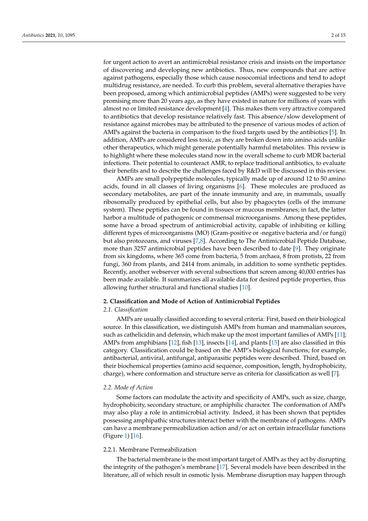for urgent action to avert an antimicrobial resistance crisis and insists on the importance of discovering and developing new antibiotics. Thus, new compounds that are active against pathogens, especially those which cause nosocomial infections and tend to adopt multidrug resistance, are needed. To curb this problem, several alternative therapies have been proposed, among which antimicrobial peptides (AMPs) were suggested to be very promising more than 20 years ago, as they have existed in nature for millions of years with almost no or limited resistance development [4]. This makes them very attractive compared to antibiotics that develop resistance relatively fast. This absence/slow development of resistance against microbes may be attributed to the presence of various modes of action of AMPs against the bacteria in comparison to the fixed targets used by the antibiotics [5]. In addition, AMPs are considered less toxic, as they are broken down into amino acids unlike other therapeutics, which might generate potentially harmful metabolites. This review is to highlight where these molecules stand now in the overall scheme to curb MDR bacterial infections. Their potential to counteract AMR, to replace traditional antibiotics, to evaluate their benefits and to describe the challenges faced by R&D will be discussed in this review.

AMPs are small polypeptide molecules, typically made up of around 12 to 50 amino acids, found in all classes of living organisms [6]. These molecules are produced as secondary metabolites, are part of the innate immunity and are, in mammals, usually ribosomally produced by epithelial cells, but also by phagocytes (cells of the immune system). These peptides can be found in tissues or mucous membranes; in fact, the latter harbor a multitude of pathogenic or commensal microorganisms. Among these peptides, some have a broad spectrum of antimicrobial activity, capable of inhibiting or killing different types of microorganisms (MO) (Gram-positive or -negative bacteria and/or fungi) but also protozoans, and viruses [7,8]. According to The Antimicrobial Peptide Database, more than 3257 antimicrobial peptides have been described to date [9]. They originate from six kingdoms, where 365 come from bacteria, 5 from archaea, 8 from protists, 22 from fungi, 360 from plants, and 2414 from animals, in addition to some synthetic peptides. Recently, another webserver with several subsections that screen among 40,000 entries has been made available. It summarizes all available data for desired peptide properties, thus allowing further structural and functional studies [10].

#### **2. Classification and Mode of Action of Antimicrobial Peptides**

#### *2.1. Classification*

AMPs are usually classified according to several criteria: First, based on their biological source. In this classification, we distinguish AMPs from human and mammalian sources, such as cathelicidin and defensin, which make up the most important families of AMPs [11]; AMPs from amphibians [12], fish [13], insects [14], and plants [15] are also classified in this category. Classification could be based on the AMP's biological functions; for example, antibacterial, antiviral, antifungal, antiparasitic peptides were described. Third, based on their biochemical properties (amino acid sequence, composition, length, hydrophobicity, charge), where conformation and structure serve as criteria for classification as well [7].

#### *2.2. Mode of Action*

Some factors can modulate the activity and specificity of AMPs, such as size, charge, hydrophobicity, secondary structure, or amphiphilic character. The conformation of AMPs may also play a role in antimicrobial activity. Indeed, it has been shown that peptides possessing amphipathic structures interact better with the membrane of pathogens. AMPs can have a membrane permeabilization action and/or act on certain intracellular functions (Figure 1) [16].

#### 2.2.1. Membrane Permeabilization

The bacterial membrane is the most important target of AMPs as they act by disrupting the integrity of the pathogen's membrane [17]. Several models have been described in the literature, all of which result in osmotic lysis. Membrane disruption may happen through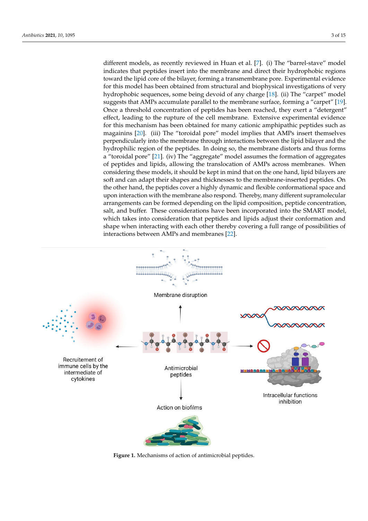different models, as recently reviewed in Huan et al. [7]. (i) The "barrel-stave" model indicates that peptides insert into the membrane and direct their hydrophobic regions toward the lipid core of the bilayer, forming a transmembrane pore. Experimental evidence for this model has been obtained from structural and biophysical investigations of very hydrophobic sequences, some being devoid of any charge [18]. (ii) The "carpet" model suggests that AMPs accumulate parallel to the membrane surface, forming a "carpet" [19]. Once a threshold concentration of peptides has been reached, they exert a "detergent" effect, leading to the rupture of the cell membrane. Extensive experimental evidence for this mechanism has been obtained for many cationic amphipathic peptides such as magainins [20]. (iii) The "toroidal pore" model implies that AMPs insert themselves perpendicularly into the membrane through interactions between the lipid bilayer and the hydrophilic region of the peptides. In doing so, the membrane distorts and thus forms a "toroidal pore" [21]. (iv) The "aggregate" model assumes the formation of aggregates of peptides and lipids, allowing the translocation of AMPs across membranes. When considering these models, it should be kept in mind that on the one hand, lipid bilayers are soft and can adapt their shapes and thicknesses to the membrane-inserted peptides. On the other hand, the peptides cover a highly dynamic and flexible conformational space and upon interaction with the membrane also respond. Thereby, many different supramolecular arrangements can be formed depending on the lipid composition, peptide concentration, salt, and buffer. These considerations have been incorporated into the SMART model, which takes into consideration that peptides and lipids adjust their conformation and shape when interacting with each other thereby covering a full range of possibilities of interactions between AMPs and membranes [22].



**Figure 1.** Mechanisms of action of antimicrobial peptides **Figure 1.** Mechanisms of action of antimicrobial peptides.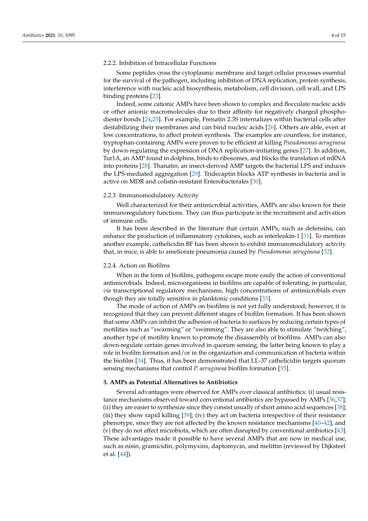#### 2.2.2. Inhibition of Intracellular Functions

Some peptides cross the cytoplasmic membrane and target cellular processes essential for the survival of the pathogen, including inhibition of DNA replication, protein synthesis, interference with nucleic acid biosynthesis, metabolism, cell division, cell wall, and LPS binding proteins [23].

Indeed, some cationic AMPs have been shown to complex and flocculate nucleic acids or other anionic macromolecules due to their affinity for negatively charged phosphodiester bonds [24,25]. For example, Frenatin 2.3S internalizes within bacterial cells after destabilizing their membranes and can bind nucleic acids [26]. Others are able, even at low concentrations, to affect protein synthesis. The examples are countless; for instance, tryptophan-containing AMPs were proven to be efficient at killing *Pseudomonas aeruginosa* by down-regulating the expression of DNA replication-initiating genes [27]. In addition, Tur1A, an AMP found in dolphins, binds to ribosomes, and blocks the translation of mRNA into proteins [28]. Thanatin, an insect-derived AMP targets the bacterial LPS and induces the LPS-mediated aggregation [29]. Tridecaptin blocks ATP synthesis in bacteria and is active on MDR and colistin-resistant Enterobacterales [30].

#### 2.2.3. Immunomodulatory Activity

Well characterized for their antimicrobial activities, AMPs are also known for their immunoregulatory functions. They can thus participate in the recruitment and activation of immune cells.

It has been described in the literature that certain AMPs, such as defensins, can enhance the production of inflammatory cytokines, such as interleukin-1 [31]. To mention another example, cathelicidin BF has been shown to exhibit immunomodulatory activity that, in mice, is able to ameliorate pneumonia caused by *Pseudomonas aeruginosa* [32].

#### 2.2.4. Action on Biofilms

When in the form of biofilms, pathogens escape more easily the action of conventional antimicrobials. Indeed, microorganisms in biofilms are capable of tolerating, in particular, *via* transcriptional regulatory mechanisms, high concentrations of antimicrobials even though they are totally sensitive in planktonic conditions [33].

The mode of action of AMPs on biofilms is not yet fully understood; however, it is recognized that they can prevent different stages of biofilm formation. It has been shown that some AMPs can inhibit the adhesion of bacteria to surfaces by reducing certain types of motilities such as "swarming" or "swimming". They are also able to stimulate "twitching", another type of motility known to promote the disassembly of biofilms. AMPs can also down-regulate certain genes involved in quorum sensing, the latter being known to play a role in biofilm formation and/or in the organization and communication of bacteria within the biofilm [34]. Thus, it has been demonstrated that LL-37 cathelicidin targets quorum sensing mechanisms that control *P. aeruginosa* biofilm formation [35].

#### **3. AMPs as Potential Alternatives to Antibiotics**

Several advantages were observed for AMPs over classical antibiotics: (i) usual resistance mechanisms observed toward conventional antibiotics are bypassed by AMPs [36,37]; (ii) they are easier to synthesize since they consist usually of short amino acid sequences [38]; (iii) they show rapid killing [39]; (iv) they act on bacteria irrespective of their resistance phenotype, since they are not affected by the known resistance mechanisms [40–42], and (v) they do not affect microbiota, which are often disrupted by conventional antibiotics [43]. These advantages made it possible to have several AMPs that are now in medical use, such as nisin, gramicidin, polymyxins, daptomycin, and melittin (reviewed by Dijksteel et al. [44]).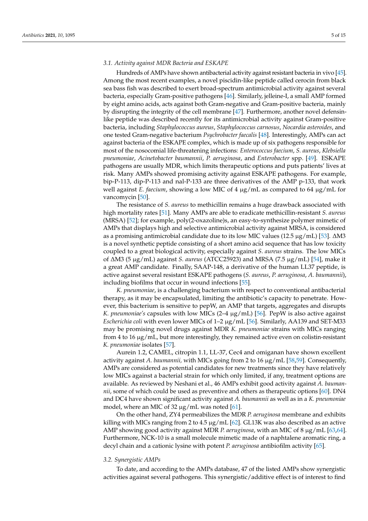#### *3.1. Activity against MDR Bacteria and ESKAPE*

Hundreds of AMPs have shown antibacterial activity against resistant bacteria in vivo [45]. Among the most recent examples, a novel piscidin-like peptide called cerocin from black sea bass fish was described to exert broad-spectrum antimicrobial activity against several bacteria, especially Gram-positive pathogens [46]. Similarly, jelleine-I, a small AMP formed by eight amino acids, acts against both Gram-negative and Gram-positive bacteria, mainly by disrupting the integrity of the cell membrane [47]. Furthermore, another novel defensinlike peptide was described recently for its antimicrobial activity against Gram-positive bacteria, including *Staphylococcus aureus*, *Staphylococcus carnosus*, *Nocardia asteroides*, and one tested Gram-negative bacterium *Psychrobacter faecalis* [48]. Interestingly, AMPs can act against bacteria of the ESKAPE complex, which is made up of six pathogens responsible for most of the nosocomial life-threatening infections: *Enterococcus faecium*, *S. aureus*, *Klebsiella pneumoniae*, *Acinetobacter baumannii*, *P. aeruginosa*, and *Enterobacter* spp. [49]. ESKAPE pathogens are usually MDR, which limits therapeutic options and puts patients' lives at risk. Many AMPs showed promising activity against ESKAPE pathogens. For example, bip-P-113, dip-P-113 and nal-P-133 are three derivatives of the AMP p-133, that work well against *E. faecium*, showing a low MIC of 4 µg/mL as compared to 64 µg/mL for vancomycin [50].

The resistance of *S. aureus* to methicillin remains a huge drawback associated with high mortality rates [51]. Many AMPs are able to eradicate methicillin-resistant *S. aureus* (MRSA) [52]; for example, poly(2-oxazoline)s, an easy-to-synthesize polymer mimetic of AMPs that displays high and selective antimicrobial activity against MRSA, is considered as a promising antimicrobial candidate due to its low MIC values (12.5 µg/mL) [53]. ∆M3 is a novel synthetic peptide consisting of a short amino acid sequence that has low toxicity coupled to a great biological activity, especially against *S. aureus* strains. The low MICs of ∆M3 (5 µg/mL) against *S. aureus* (ATCC25923) and MRSA (7.5 µg/mL) [54], make it a great AMP candidate. Finally, SAAP-148, a derivative of the human LL37 peptide, is active against several resistant ESKAPE pathogens (*S. aureus*, *P. aeruginosa*, *A. baumannii*), including biofilms that occur in wound infections [55].

*K. pneumoniae*, is a challenging bacterium with respect to conventional antibacterial therapy, as it may be encapsulated, limiting the antibiotic's capacity to penetrate. However, this bacterium is sensitive to pepW, an AMP that targets, aggregates and disrupts *K. pneumoniae's* capsules with low MICs (2–4 µg/mL) [56]. PepW is also active against *Escherichia coli* with even lower MICs of 1–2 µg/mL [56]. Similarly, AA139 and SET-M33 may be promising novel drugs against MDR *K. pneumoniae* strains with MICs ranging from 4 to 16 µg/mL, but more interestingly, they remained active even on colistin-resistant *K. pneumoniae* isolates [57].

Aurein 1.2, CAMEL, citropin 1.1, LL-37, Cec4 and omiganan have shown excellent activity against *A. baumannii,* with MICs going from 2 to 16 µg/mL [58,59]. Consequently, AMPs are considered as potential candidates for new treatments since they have relatively low MICs against a bacterial strain for which only limited, if any, treatment options are available. As reviewed by Neshani et al., 46 AMPs exhibit good activity against *A. baumannii*, some of which could be used as preventive and others as therapeutic options [60]. DN4 and DC4 have shown significant activity against *A. baumannii* as well as in a *K. pneumoniae* model, where an MIC of 32  $\mu$ g/mL was noted [61].

On the other hand, ZY4 permeabilizes the MDR *P. aeruginosa* membrane and exhibits killing with MICs ranging from 2 to 4.5  $\mu$ g/mL [62]. GL13K was also described as an active AMP showing good activity against MDR *P. aeruginosa*, with an MIC of 8 µg/mL [63,64]. Furthermore, NCK-10 is a small molecule mimetic made of a naphtalene aromatic ring, a decyl chain and a cationic lysine with potent *P. aeruginosa* antibiofilm activity [65].

#### *3.2. Synergistic AMPs*

To date, and according to the AMPs database, 47 of the listed AMPs show synergistic activities against several pathogens. This synergistic/additive effect is of interest to find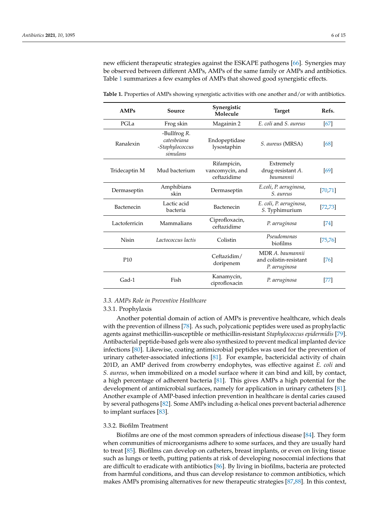new efficient therapeutic strategies against the ESKAPE pathogens [66]. Synergies may be observed between different AMPs, AMPs of the same family or AMPs and antibiotics. Table 1 summarizes a few examples of AMPs that showed good synergistic effects.

| AMPs              | Source                                                     | Synergistic<br>Molecule                       | <b>Target</b>                                               | Refs.    |
|-------------------|------------------------------------------------------------|-----------------------------------------------|-------------------------------------------------------------|----------|
| PGLa              | Frog skin                                                  | Magainin 2                                    | E. coli and S. aureus                                       | [67]     |
| Ranalexin         | -Bullfrog R.<br>catesheiana<br>-Staphylococcus<br>simulans | Endopeptidase<br>lysostaphin                  | S. aureus (MRSA)                                            | [68]     |
| Tridecaptin M     | Mud bacterium                                              | Rifampicin,<br>vancomycin, and<br>ceftazidime | Extremely<br>drug-resistant A.<br>haumannii                 | [69]     |
| Dermaseptin       | Amphibians<br>skin                                         | Dermaseptin                                   | E.coli, P. aeruginosa,<br>S. aureus                         | [70, 71] |
| <b>Bactenecin</b> | Lactic acid<br>bacteria                                    | Bactenecin                                    | E. coli, P. aeruginosa,<br>S. Typhimurium                   | [72, 73] |
| Lactoferricin     | Mammalians                                                 | Ciprofloxacin,<br>ceftazidime                 | P. aeruginosa                                               | 74       |
| <b>Nisin</b>      | Lactococcus lactis                                         | Colistin                                      | Pseudomonas<br>biofilms                                     | [75, 76] |
| P <sub>10</sub>   |                                                            | Ceftazidim/<br>doripenem                      | MDR A. baumannii<br>and colistin-resistant<br>P. aeruginosa | [76]     |
| Gad-1             | Fish                                                       | Kanamycin,<br>ciprofloxacin                   | P. aeruginosa                                               | [77]     |

**Table 1.** Properties of AMPs showing synergistic activities with one another and/or with antibiotics.

#### *3.3. AMPs Role in Preventive Healthcare*

#### 3.3.1. Prophylaxis

Another potential domain of action of AMPs is preventive healthcare, which deals with the prevention of illness [78]. As such, polycationic peptides were used as prophylactic agents against methicillin-susceptible or methicillin-resistant *Staphylococcus epidermidis* [79]. Antibacterial peptide-based gels were also synthesized to prevent medical implanted device infections [80]. Likewise, coating antimicrobial peptides was used for the prevention of urinary catheter-associated infections [81]. For example, bactericidal activity of chain 201D, an AMP derived from crowberry endophytes, was effective against *E. coli* and *S. aureus*, when immobilized on a model surface where it can bind and kill, by contact, a high percentage of adherent bacteria [81]. This gives AMPs a high potential for the development of antimicrobial surfaces, namely for application in urinary catheters [81]. Another example of AMP-based infection prevention in healthcare is dental caries caused by several pathogens [82]. Some AMPs including α-helical ones prevent bacterial adherence to implant surfaces [83].

#### 3.3.2. Biofilm Treatment

Biofilms are one of the most common spreaders of infectious disease [84]. They form when communities of microorganisms adhere to some surfaces, and they are usually hard to treat [85]. Biofilms can develop on catheters, breast implants, or even on living tissue such as lungs or teeth, putting patients at risk of developing nosocomial infections that are difficult to eradicate with antibiotics [86]. By living in biofilms, bacteria are protected from harmful conditions, and thus can develop resistance to common antibiotics, which makes AMPs promising alternatives for new therapeutic strategies [87,88]. In this context,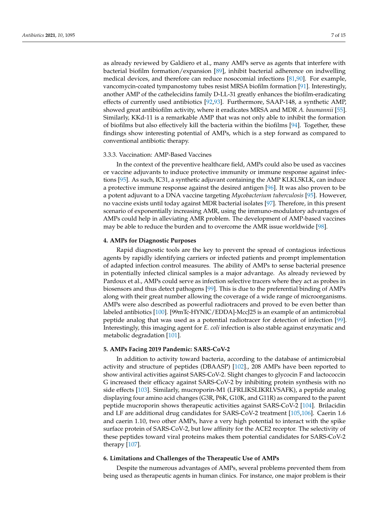as already reviewed by Galdiero et al., many AMPs serve as agents that interfere with bacterial biofilm formation/expansion [89], inhibit bacterial adherence on indwelling medical devices, and therefore can reduce nosocomial infections [81,90]. For example, vancomycin-coated tympanostomy tubes resist MRSA biofilm formation [91]. Interestingly, another AMP of the cathelecidins family D-LL-31 greatly enhances the biofilm-eradicating effects of currently used antibiotics [92,93]. Furthermore, SAAP-148, a synthetic AMP, showed great antibiofilm activity, where it eradicates MRSA and MDR *A. baumannii* [55]. Similarly, KKd-11 is a remarkable AMP that was not only able to inhibit the formation of biofilms but also effectively kill the bacteria within the biofilms [94]. Together, these findings show interesting potential of AMPs, which is a step forward as compared to conventional antibiotic therapy.

#### 3.3.3. Vaccination: AMP-Based Vaccines

In the context of the preventive healthcare field, AMPs could also be used as vaccines or vaccine adjuvants to induce protective immunity or immune response against infections [95]. As such, IC31, a synthetic adjuvant containing the AMP KLKL5KLK, can induce a protective immune response against the desired antigen [96]. It was also proven to be a potent adjuvant to a DNA vaccine targeting *Mycobacterium tuberculosis* [95]. However, no vaccine exists until today against MDR bacterial isolates [97]. Therefore, in this present scenario of exponentially increasing AMR, using the immuno-modulatory advantages of AMPs could help in alleviating AMR problem. The development of AMP-based vaccines may be able to reduce the burden and to overcome the AMR issue worldwide [98].

#### **4. AMPs for Diagnostic Purposes**

Rapid diagnostic tools are the key to prevent the spread of contagious infectious agents by rapidly identifying carriers or infected patients and prompt implementation of adapted infection control measures. The ability of AMPs to sense bacterial presence in potentially infected clinical samples is a major advantage. As already reviewed by Pardoux et al., AMPs could serve as infection selective tracers where they act as probes in biosensors and thus detect pathogens [99]. This is due to the preferential binding of AMPs along with their great number allowing the coverage of a wide range of microorganisms. AMPs were also described as powerful radiotracers and proved to be even better than labeled antibiotics [100]. [99mTc-HYNIC/EDDA]-MccJ25 is an example of an antimicrobial peptide analog that was used as a potential radiotracer for detection of infection [99]. Interestingly, this imaging agent for *E. coli* infection is also stable against enzymatic and metabolic degradation [101].

#### **5. AMPs Facing 2019 Pandemic: SARS-CoV-2**

In addition to activity toward bacteria, according to the database of antimicrobial activity and structure of peptides (DBAASP) [102]., 208 AMPs have been reported to show antiviral activities against SARS-CoV-2. Slight changes to glycocin F and lactococcin G increased their efficacy against SARS-CoV-2 by inhibiting protein synthesis with no side effects [103]. Similarly, mucroporin-M1 (LFRLIKSLIKRLVSAFK), a peptide analog displaying four amino acid changes (G3R, P6K, G10K, and G11R) as compared to the parent peptide mucroporin shows therapeutic activities against SARS-CoV-2 [104]. Brilacidin and LF are additional drug candidates for SARS-CoV-2 treatment [105,106]. Caerin 1.6 and caerin 1.10, two other AMPs, have a very high potential to interact with the spike surface protein of SARS-CoV-2, but low affinity for the ACE2 receptor. The selectivity of these peptides toward viral proteins makes them potential candidates for SARS-CoV-2 therapy [107].

#### **6. Limitations and Challenges of the Therapeutic Use of AMPs**

Despite the numerous advantages of AMPs, several problems prevented them from being used as therapeutic agents in human clinics. For instance, one major problem is their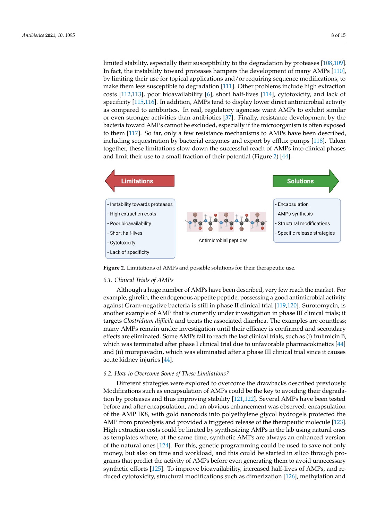limited stability, especially their susceptibility to the degradation by proteases [108,109]. limited stability, especially their susceptibility to the degradation by proteases [108,109]. In fact, the instability toward proteases hampers the development of many AMPs [110], In fact, the instability toward proteases hampers the development of many AMPs [110], by limiting their use for topical applications and/or requiring sequence modifications, to by limiting their use for topical applications and/or requiring sequence modifications, to make them less susceptible to degradation [111]. Other problems include high extraction make them less susceptible to degradation [111]. Other problems include high extraction costs [112,113], poor bioavailability [6], short half-lives [114], cytotoxicity, and lack of costs [112,113], poor bioavailability [6], short half-lives [114], cytotoxicity, and lack of specspecificity  $[115,116]$ . In addition, AMPs tend to display lower direct antimicrobial activity as compared to antibiotics. In real, regulatory agencies want AMPs to exhibit similar or even stronger activities than antibiotics [37]. Finally, resistance development by the bacteria toward AMPs cannot be excluded, especially if the microorganism is often exposed to them [117]. So far, only a few resistance mechanisms to AMPs have been described, them [117]. So far, only a few resistance mechanisms to AMPs have been described, inincluding sequestration by bacterial enzymes and export by efflux pumps [118]. Taken cluding sequestration by bacterial enzymes and export by efflux pumps [118]. Taken totogether, these limitations slow down the successful reach of AMPs into clinical phases and limit their use to a small fraction of their potential (Figure 2) [44].

Despite the numerous advantages of AMPs, several problems prevented them from



**Figure 2.** Limitations of AMPs and possible solutions for their therapeutic use. **Figure 2.** Limitations of AMPs and possible solutions for their therapeutic use.

#### *6.1. Clinical Trials of AMPs*

*6.1. Clinical Trials of AMPs* example, ghrelin, the endogenous appetite peptide, possessing a good antimicrobial activity against Gram-negative bacteria is still in phase II clinical trial [119,120]. Surotomycin, is another example of AMP that is currently under investigation in phase III clinical trials; it targets *Clostridium difficile* and treats the associated diarrhea. The examples are countless; many AMPs remain under investigation until their efficacy is confirmed and secondary effects are eliminated. Some AMPs fail to reach the last clinical trials, such as (i) frulimicin B, which was terminated after phase I clinical trial due to unfavorable pharmacokinetics [44] and (ii) murepavadin, which was eliminated after a phase III clinical trial since it causes acute kidney injuries [44].  $\frac{1}{2}$ , causes acute kidney in  $\frac{4}{3}$ . Although a huge number of AMPs have been described, very few reach the market. For

#### *6.2. How to Overcome Some of These Limitations?*

Different strategies were explored to overcome the drawbacks described previously. Modifications such as encapsulation of AMPs could be the key to avoiding their degradation by proteases and thus improving stability [121,122]. Several AMPs have been tested before and after encapsulation, and an obvious enhancement was observed: encapsulation of the AMP IK8, with gold nanorods into polyethylene glycol hydrogels protected the AMP from proteolysis and provided a triggered release of the therapeutic molecule [123]. High extraction costs could be limited by synthesizing AMPs in the lab using natural ones as templates where, at the same time, synthetic AMPs are always an enhanced version of the natural ones [124]. For this, genetic programming could be used to save not only money, but also on time and workload, and this could be started in silico through programs that predict the activity of AMPs before even generating them to avoid unnecessary synthetic efforts [125]. To improve bioavailability, increased half-lives of AMPs, and reduced cytotoxicity, structural modifications such as dimerization [126], methylation and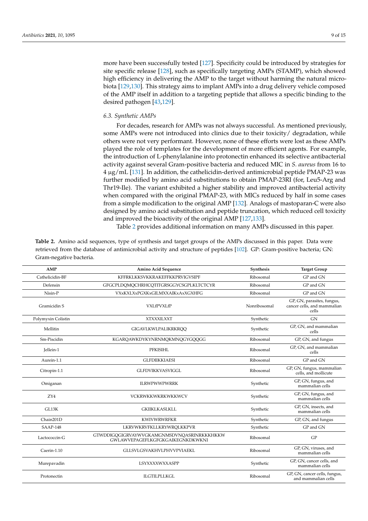more have been successfully tested [127]. Specificity could be introduced by strategies for site specific release [128], such as specifically targeting AMPs (STAMP), which showed high efficiency in delivering the AMP to the target without harming the natural microbiota [129,130]. This strategy aims to implant AMPs into a drug delivery vehicle composed of the AMP itself in addition to a targeting peptide that allows a specific binding to the desired pathogen [43,129].

#### *6.3. Synthetic AMPs*

For decades, research for AMPs was not always successful. As mentioned previously, some AMPs were not introduced into clinics due to their toxicity/ degradation, while others were not very performant. However, none of these efforts were lost as these AMPs played the role of templates for the development of more efficient agents. For example, the introduction of L-phenylalanine into protonectin enhanced its selective antibacterial activity against several Gram-positive bacteria and reduced MIC in *S. aureus* from 16 to 4 µg/mL [131]. In addition, the cathelicidin-derived antimicrobial peptide PMAP-23 was further modified by amino acid substitutions to obtain PMAP-23RI (for, Leu5-Arg and Thr19-Ile). The variant exhibited a higher stability and improved antibacterial activity when compared with the original PMAP-23, with MICs reduced by half in some cases from a simple modification to the original AMP [132]. Analogs of mastoparan-C were also designed by amino acid substitution and peptide truncation, which reduced cell toxicity and improved the bioactivity of the original AMP [127,133].

Table 2 provides additional information on many AMPs discussed in this paper.

| Table 2. Amino acid sequences, type of synthesis and target groups of the AMPs discussed in this paper. Data were      |
|------------------------------------------------------------------------------------------------------------------------|
| retrieved from the database of antimicrobial activity and structure of peptides [102]. GP: Gram-positive bacteria; GN: |
| Gram-negative bacteria.                                                                                                |

| <b>AMP</b>         | Amino Acid Sequence                                                            | Synthesis    | <b>Target Group</b>                                                |
|--------------------|--------------------------------------------------------------------------------|--------------|--------------------------------------------------------------------|
| Cathelicidin-BF    | KFFRKLKKSVKKRAKEFFKKPRVIGVSIPF                                                 | Ribosomal    | GP and GN                                                          |
| Defensin           | GFGCPLDQMQCHRHCQTITGRSGGYCSGPLKLTCTCYR                                         | Ribosomal    | GP and GN                                                          |
| Nisin-P            | <b>VXxKXLXxPGXKxGILMXXAIKxAxXGXHFG</b>                                         | Ribosomal    | GP and GN                                                          |
| Gramicidin S       | VXLfPVXLfP                                                                     | Nonribosomal | GP, GN, parasites, fungus,<br>cancer cells, and mammalian<br>cells |
| Polymyxin Colistin | <b>XTXXXILXXT</b>                                                              | Synthetic    | GN                                                                 |
| Mellitin           | <b>GIGAVLKWLPALIKRKRQQ</b>                                                     | Synthetic    | GP. GN. and mammalian<br>cells                                     |
| Sm-Piscidin        | KGARQAWKDYKYNRNMQKMNQGYGQQGG                                                   | Ribosomal    | GP, GN, and fungus                                                 |
| <b>Jellein-1</b>   | PFKISIHL                                                                       | Ribosomal    | GP, GN, and mammalian<br>cells                                     |
| Aurein-1.1         | <b>GLFDIIKKIAESI</b>                                                           | Ribosomal    | GP and GN                                                          |
| Citropin-1.1       | <b>GLFDVIKKVASVIGGL</b>                                                        | Ribosomal    | GP, GN, fungus, mammalian<br>cells, and mollicute                  |
| Omiganan           | <b>ILRWPWWPWRRK</b>                                                            | Synthetic    | GP, GN, fungus, and<br>mammalian cells                             |
| $Z$ Y4             | VCKRWKKWKRKWKKWCV                                                              | Synthetic    | GP, GN, fungus, and<br>mammalian cells                             |
| GL13K              | <b>GKIIKLKASLKLL</b>                                                           | Synthetic    | GP, GN, insects, and<br>mammalian cells                            |
| Chain201D          | <b>KWIVWRWRFKR</b>                                                             | Synthetic    | GP, GN, and fungus                                                 |
| SAAP-148           | LKRVWKRVFKLLKRYWROLKKPVR                                                       | Synthetic    | GP and GN                                                          |
| Lactococcin-G      | GTWDDIGQGIGRVAYWVGKAMGNMSDVNQASRINRKKKHKKW<br>GWLAWVEPAGEFLKGFGKGAIKEGNKDKWKNI | Ribosomal    | GP                                                                 |
| Caerin-1.10        | GLLSVLGSVAKHVLPHVVPVIAEKL                                                      | Ribosomal    | GP, GN, viruses, and<br>mammalian cells                            |
| Murepavadin        | LSYXXXXWXXASPP                                                                 | Synthetic    | GP, GN, cancer cells, and<br>mammalian cells                       |
| Protonectin        | <b>ILGTILPLLKGL</b>                                                            | Ribosomal    | GP, GN, cancer cells, fungus,<br>and mammalian cells               |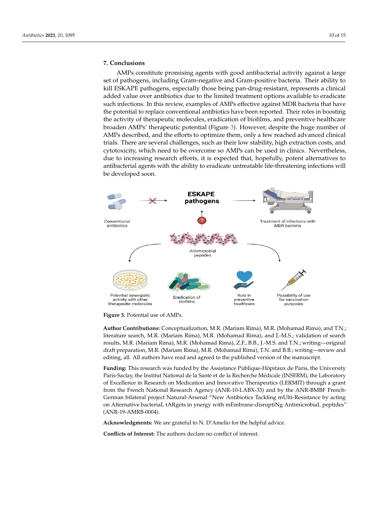### **7. Conclusions 7. Conclusions**

AMPs constitute promising agents with good antibacterial activity against a large AMPs constitute promising agents with good antibacterial activity against a large set set of pathogens, including Gram-negative and Gram-positive bacteria. Their ability to kill ESKAPE pathogens, especially those being pan-drug-resistant, represents a clinical added value over antibiotics due to the limited treatment options available to eradicate such infections. In this review, examples of AMPs effective against MDR bacteria that have the potential to replace conventional antibiotics have been reported. Their roles in boosting potential to replace conventional antibiotics have been reported. Their roles in boosting the activity of therapeutic molecules, eradication of biofilms, and preventive healthcare the activity of therapeutic molecules, eradication of biofilms, and preventive healthcare broaden AMPs' therapeutic potential (Figure 3). However, despite the huge number of broaden AMPs' therapeutic potential (Figure 3). However, despite the huge number of AMPs described, and the efforts to optimize them, only a few reached advanced clinical AMPs described, and the efforts to optimize them, only a few reached advanced clinical trials. There are several challenges, such as their low stability, high extraction costs, and trials. There are several challenges, such as their low stability, high extraction costs, and cytotoxicity, which need to be overcome so AMPs can be used in clinics. Nevertheless, cytotoxicity, which need to be overcome so AMPs can be used in clinics. Nevertheless, due to increasing research efforts, it is expected that, hopefully, potent alternatives to antibacterial agents with the ability to eradicate untreatable life-threatening infections will tibacterial agents with the ability to eradicate untreatable life-threatening infections will be developed soon. be developed soon.



**Figure 3***.* Potential use of AMPs*.* **Figure 3.** Potential use of AMPs.

**Author Contributions:** Conceptualization, M.R. (Mariam Rima), M.R. (Mohamad Rima), and T.N.; **Author Contributions:** Conceptualization, M.R. (Mariam Rima), M.R. (Mohamad Rima), and T.N.; literature search, M.R. (Mariam Rima), M.R. (Mohamad Rima), and J.-M.S.; validation of search re-literature search, M.R. (Mariam Rima), M.R. (Mohamad Rima), and J.-M.S.; validation of search results, M.R. (Mariam Rima), M.R. (Mohamad Rima), Z.F., B.B., J.-M.S. and T.N.; writing—original draft preparation, M.R. (Mariam Rima), M.R. (Mohamad Rima), T.N. and B.B.; writing—review and draft preparation, M.R. (Mariam Rima), M.R. (Mohamad Rima), T.N. and B.B.; writing—review and editing, all. All authors have read and agreed to the published version of the manuscript. editing, all. All authors have read and agreed to the published version of the manuscript.

**Funding:** This research was funded by the Assistance Publique-Hôpitaux de Paris, the University **Funding:** This research was funded by the Assistance Publique-Hôpitaux de Paris, the University Paris-Saclay, the Institut National de la Sante ́et de la Recherche Médicale (INSERM), the Laboratory Paris-Saclay, the Institut National de la Santé et de la Recherche Médicale (INSERM), the Laboratory of Excellence in Research on Medication and Innovative Therapeutics (LERMIT) through a grant from the French National Research Agency (ANR-10-LABX-33) and by the ANR-BMBF French-German bilateral project Natural-Arsenal "New Antibiotics Tackling mUlti-Resistance by acting on Alternative bacteriaL tARgets in ynergy with mEmbrane-disruptiNg AntimicrobiaL peptides" (ANR-19-AMRB-0004).

**Acknowledgments:** We are grateful to N. D'Amelio for the helpful advice.

**Conflicts of Interest:** The authors declare no conflict of interest.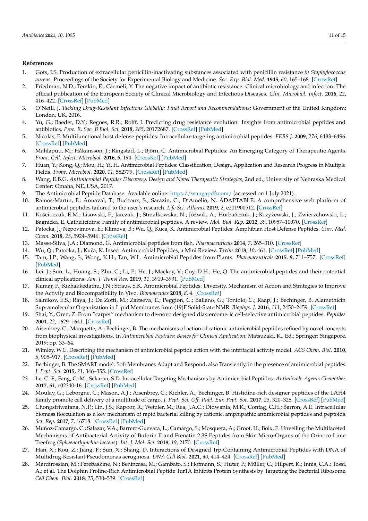#### **References**

- 1. Gots, J.S. Production of extracellular penicillin-inactivating substances associated with penicillin resistance *in Staphylococcus aureus*. Proceedings of the Society for Experimental Biology and Medicine. *Soc. Exp. Biol. Med.* **1945**, *60*, 165–168. [\[CrossRef\]](http://doi.org/10.3181/00379727-60-15128)
- 2. Friedman, N.D.; Temkin, E.; Carmeli, Y. The negative impact of antibiotic resistance. Clinical microbiology and infection: The official publication of the European Society of Clinical Microbiology and Infectious Diseases. *Clin. Microbiol. Infect.* **2016**, *22*, 416–422. [\[CrossRef\]](http://doi.org/10.1016/j.cmi.2015.12.002) [\[PubMed\]](http://www.ncbi.nlm.nih.gov/pubmed/26706614)
- 3. O'Neill, J. *Tackling Drug-Resistant Infections Globally: Final Report and Recommendations*; Government of the United Kingdom: London, UK, 2016.
- 4. Yu, G.; Baeder, D.Y.; Regoes, R.R.; Rolff, J. Predicting drug resistance evolution: Insights from antimicrobial peptides and antibiotics. *Proc. R. Soc. B Biol. Sci.* **2018**, *285*, 20172687. [\[CrossRef\]](http://doi.org/10.1098/rspb.2017.2687) [\[PubMed\]](http://www.ncbi.nlm.nih.gov/pubmed/29540517)
- 5. Nicolas, P. Multifunctional host defense peptides: Intracellular-targeting antimicrobial peptides. *FEBS J.* **2009**, *276*, 6483–6496. [\[CrossRef\]](http://doi.org/10.1111/j.1742-4658.2009.07359.x) [\[PubMed\]](http://www.ncbi.nlm.nih.gov/pubmed/19817856)
- 6. Mahlapuu, M.; Håkansson, J.; Ringstad, L.; Björn, C. Antimicrobial Peptides: An Emerging Category of Therapeutic Agents. *Front. Cell. Infect. Microbiol.* **2016**, *6*, 194. [\[CrossRef\]](http://doi.org/10.3389/fcimb.2016.00194) [\[PubMed\]](http://www.ncbi.nlm.nih.gov/pubmed/28083516)
- 7. Huan, Y.; Kong, Q.; Mou, H.; Yi, H. Antimicrobial Peptides: Classification, Design, Application and Research Progress in Multiple Fields. *Front. Microbiol.* **2020**, *11*, 582779. [\[CrossRef\]](http://doi.org/10.3389/fmicb.2020.582779) [\[PubMed\]](http://www.ncbi.nlm.nih.gov/pubmed/33178164)
- 8. Wang, E.B.G. *Antimicrobial Peptides Discovery, Design and Novel Therapeutic Strategies*, 2nd ed.; University of Nebraska Medical Center: Omaha, NE, USA, 2017.
- 9. The Antimicrobial Peptide Database. Available online: <https://wangapd3.com/> (accessed on 1 July 2021).
- 10. Ramos-Martín, F.; Annaval, T.; Buchoux, S.; Sarazin, C.; D'Amelio, N. ADAPTABLE: A comprehensive web platform of antimicrobial peptides tailored to the user's research. *Life Sci. Alliance* **2019**, *2*, e201900512. [\[CrossRef\]](http://doi.org/10.26508/lsa.201900512)
- 11. Kościuczuk, E.M.; Lisowski, P.; Jarczak, J.; Strzałkowska, N.; Jóźwik, A.; Horbańczuk, J.; Krzyżewski, J.; Zwierzchowski, L.; Bagnicka, E. Cathelicidins: Family of antimicrobial peptides. A review. *Mol. Biol. Rep.* **2012**, *39*, 10957–10970. [\[CrossRef\]](http://doi.org/10.1007/s11033-012-1997-x)
- 12. Patocka, J.; Nepovimova, E.; Klimova, B.; Wu, Q.; Kuca, K. Antimicrobial Peptides: Amphibian Host Defense Peptides. *Curr. Med. Chem.* **2018**, *25*, 5924–5946. [\[CrossRef\]](http://doi.org/10.2174/0929867325666180713125314)
- 13. Masso-Silva, J.A.; Diamond, G. Antimicrobial peptides from fish. *Pharmaceuticals* **2014**, *7*, 265–310. [\[CrossRef\]](http://doi.org/10.3390/ph7030265)
- 14. Wu, Q.; Patoˇcka, J.; Kuˇca, K. Insect Antimicrobial Peptides, a Mini Review. *Toxins* **2018**, *10*, 461. [\[CrossRef\]](http://doi.org/10.3390/toxins10110461) [\[PubMed\]](http://www.ncbi.nlm.nih.gov/pubmed/30413046)
- 15. Tam, J.P.; Wang, S.; Wong, K.H.; Tan, W.L. Antimicrobial Peptides from Plants. *Pharmaceuticals* **2015**, *8*, 711–757. [\[CrossRef\]](http://doi.org/10.3390/ph8040711) [\[PubMed\]](http://www.ncbi.nlm.nih.gov/pubmed/26580629)
- 16. Lei, J.; Sun, L.; Huang, S.; Zhu, C.; Li, P.; He, J.; Mackey, V.; Coy, D.H.; He, Q. The antimicrobial peptides and their potential clinical applications. *Am. J. Transl Res.* **2019**, *11*, 3919–3931. [\[PubMed\]](http://www.ncbi.nlm.nih.gov/pubmed/31396309)
- 17. Kumar, P.; Kizhakkedathu, J.N.; Straus, S.K. Antimicrobial Peptides: Diversity, Mechanism of Action and Strategies to Improve the Activity and Biocompatibility In Vivo. *Biomolecules* **2018**, *8*, 4. [\[CrossRef\]](http://doi.org/10.3390/biom8010004)
- 18. Salnikov, E.S.; Raya, J.; De Zotti, M.; Zaitseva, E.; Peggion, C.; Ballano, G.; Toniolo, C.; Raap, J.; Bechinger, B. Alamethicin Supramolecular Organization in Lipid Membranes from (19)F Solid-State NMR. *Biophys. J.* **2016**, *111*, 2450–2459. [\[CrossRef\]](http://doi.org/10.1016/j.bpj.2016.09.048)
- 19. Shai, Y.; Oren, Z. From "carpet" mechanism to de-novo designed diastereomeric cell-selective antimicrobial peptides. *Peptides* **2001**, *22*, 1629–1641. [\[CrossRef\]](http://doi.org/10.1016/S0196-9781(01)00498-3)
- 20. Aisenbrey, C.; Marquette, A.; Bechinger, B. The mechanisms of action of cationic antimicrobial peptides refined by novel concepts from biophysical investigations. In *Antimicrobial Peptides: Basics for Clinical Application*; Matsuzaki, K., Ed.; Springer: Singapore, 2019; pp. 33–64.
- 21. Wimley, W.C. Describing the mechanism of antimicrobial peptide action with the interfacial activity model. *ACS Chem. Biol.* **2010**, *5*, 905–917. [\[CrossRef\]](http://doi.org/10.1021/cb1001558) [\[PubMed\]](http://www.ncbi.nlm.nih.gov/pubmed/20698568)
- 22. Bechinger, B. The SMART model: Soft Membranes Adapt and Respond, also Transiently, in the presence of antimicrobial peptides. *J. Pept. Sci.* **2015**, *21*, 346–355. [\[CrossRef\]](http://doi.org/10.1002/psc.2729)
- 23. Le, C.-F.; Fang, C.-M.; Sekaran, S.D. Intracellular Targeting Mechanisms by Antimicrobial Peptides. *Antimicrob. Agents Chemother.* **2017**, *61*, e02340-16. [\[CrossRef\]](http://doi.org/10.1128/AAC.02340-16) [\[PubMed\]](http://www.ncbi.nlm.nih.gov/pubmed/28167546)
- 24. Moulay, G.; Leborgne, C.; Mason, A.J.; Aisenbrey, C.; Kichler, A.; Bechinger, B. Histidine-rich designer peptides of the LAH4 family promote cell delivery of a multitude of cargo. *J. Pept. Sci. Off. Publ. Eur. Pept. Soc.* **2017**, *23*, 320–328. [\[CrossRef\]](http://doi.org/10.1002/psc.2955) [\[PubMed\]](http://www.ncbi.nlm.nih.gov/pubmed/28067008)
- 25. Chongsiriwatana, N.P.; Lin, J.S.; Kapoor, R.; Wetzler, M.; Rea, J.A.C.; Didwania, M.K.; Contag, C.H.; Barron, A.E. Intracellular biomass flocculation as a key mechanism of rapid bacterial killing by cationic, amphipathic antimicrobial peptides and peptoids. *Sci. Rep.* **2017**, *7*, 16718. [\[CrossRef\]](http://doi.org/10.1038/s41598-017-16180-0) [\[PubMed\]](http://www.ncbi.nlm.nih.gov/pubmed/29196622)
- 26. Muñoz-Camargo, C.; Salazar, V.A.; Barrero-Guevara, L.; Camargo, S.; Mosquera, A.; Groot, H.; Boix, E. Unveiling the Multifaceted Mechanisms of Antibacterial Activity of Buforin II and Frenatin 2.3S Peptides from Skin Micro-Organs of the Orinoco Lime Treefrog (*Sphaenorhynchus lacteus*). *Int. J. Mol. Sci.* **2018**, *19*, 2170. [\[CrossRef\]](http://doi.org/10.3390/ijms19082170)
- 27. Han, X.; Kou, Z.; Jiang, F.; Sun, X.; Shang, D. Interactions of Designed Trp-Containing Antimicrobial Peptides with DNA of Multidrug-Resistant Pseudomonas aeruginosa. *DNA Cell Biol.* **2021**, *40*, 414–424. [\[CrossRef\]](http://doi.org/10.1089/dna.2019.4874) [\[PubMed\]](http://www.ncbi.nlm.nih.gov/pubmed/32023094)
- 28. Mardirossian, M.; Pérébaskine, N.; Benincasa, M.; Gambato, S.; Hofmann, S.; Huter, P.; Müller, C.; Hilpert, K.; Innis, C.A.; Tossi, A.; et al. The Dolphin Proline-Rich Antimicrobial Peptide Tur1A Inhibits Protein Synthesis by Targeting the Bacterial Ribosome. *Cell Chem. Biol.* **2018**, *25*, 530–539. [\[CrossRef\]](http://doi.org/10.1016/j.chembiol.2018.02.004)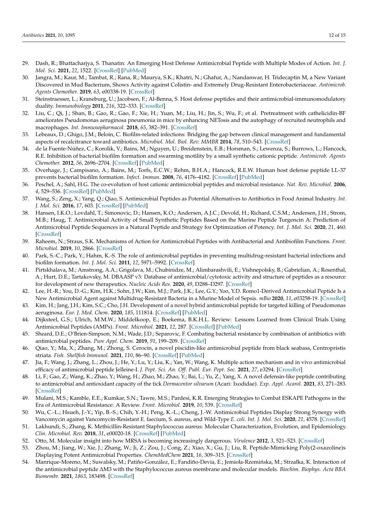- 29. Dash, R.; Bhattacharjya, S. Thanatin: An Emerging Host Defense Antimicrobial Peptide with Multiple Modes of Action. *Int. J. Mol. Sci.* **2021**, *22*, 1522. [\[CrossRef\]](http://doi.org/10.3390/ijms22041522) [\[PubMed\]](http://www.ncbi.nlm.nih.gov/pubmed/33546369)
- 30. Jangra, M.; Kaur, M.; Tambat, R.; Rana, R.; Maurya, S.K.; Khatri, N.; Ghafur, A.; Nandanwar, H. Tridecaptin M, a New Variant Discovered in Mud Bacterium, Shows Activity against Colistin- and Extremely Drug-Resistant Enterobacteriaceae. *Antimicrob. Agents Chemother.* **2019**, *63*, e00338-19. [\[CrossRef\]](http://doi.org/10.1128/AAC.00338-19)
- 31. Steinstraesser, L.; Kraneburg, U.; Jacobsen, F.; Al-Benna, S. Host defense peptides and their antimicrobial-immunomodulatory duality. *Immunobiology* **2011**, *216*, 322–333. [\[CrossRef\]](http://doi.org/10.1016/j.imbio.2010.07.003)
- 32. Liu, C.; Qi, J.; Shan, B.; Gao, R.; Gao, F.; Xie, H.; Yuan, M.; Liu, H.; Jin, S.; Wu, F.; et al. Pretreatment with cathelicidin-BF ameliorates Pseudomonas aeruginosa pneumonia in mice by enhancing NETosis and the autophagy of recruited neutrophils and macrophages. *Int. Immunopharmacol.* **2018**, *65*, 382–391. [\[CrossRef\]](http://doi.org/10.1016/j.intimp.2018.10.030)
- 33. Lebeaux, D.; Ghigo, J.M.; Beloin, C. Biofilm-related infections: Bridging the gap between clinical management and fundamental aspects of recalcitrance toward antibiotics. *Microbiol. Mol. Biol. Rev. MMBR* **2014**, *78*, 510–543. [\[CrossRef\]](http://doi.org/10.1128/MMBR.00013-14)
- 34. de la Fuente-Núñez, C.; Korolik, V.; Bains, M.; Nguyen, U.; Breidenstein, E.B.; Horsman, S.; Lewenza, S.; Burrows, L.; Hancock, R.E. Inhibition of bacterial biofilm formation and swarming motility by a small synthetic cationic peptide. *Antimicrob. Agents Chemother.* **2012**, *56*, 2696–2704. [\[CrossRef\]](http://doi.org/10.1128/AAC.00064-12) [\[PubMed\]](http://www.ncbi.nlm.nih.gov/pubmed/22354291)
- 35. Overhage, J.; Campisano, A.; Bains, M.; Torfs, E.C.W.; Rehm, B.H.A.; Hancock, R.E.W. Human host defense peptide LL-37 prevents bacterial biofilm formation. *Infect. Immun.* **2008**, *76*, 4176–4182. [\[CrossRef\]](http://doi.org/10.1128/IAI.00318-08) [\[PubMed\]](http://www.ncbi.nlm.nih.gov/pubmed/18591225)
- 36. Peschel, A.; Sahl, H.G. The co-evolution of host cationic antimicrobial peptides and microbial resistance. *Nat. Rev. Microbiol.* **2006**, *4*, 529–536. [\[CrossRef\]](http://doi.org/10.1038/nrmicro1441) [\[PubMed\]](http://www.ncbi.nlm.nih.gov/pubmed/16778838)
- 37. Wang, S.; Zeng, X.; Yang, Q.; Qiao, S. Antimicrobial Peptides as Potential Alternatives to Antibiotics in Food Animal Industry. *Int. J. Mol. Sci.* **2016**, *17*, 603. [\[CrossRef\]](http://doi.org/10.3390/ijms17050603) [\[PubMed\]](http://www.ncbi.nlm.nih.gov/pubmed/27153059)
- 38. Hansen, I.K.O.; Lovdahl, T.; Simonovic, D.; Hansen, K.O.; Andersen, A.J.C.; Devold, H.; Richard, C.S.M.; Andersen, J.H.; Strom, M.B.; Haug, T. Antimicrobial Activity of Small Synthetic Peptides Based on the Marine Peptide Turgencin A: Prediction of Antimicrobial Peptide Sequences in a Natural Peptide and Strategy for Optimization of Potency. *Int. J. Mol. Sci.* **2020**, *21*, 460. [\[CrossRef\]](http://doi.org/10.3390/ijms21155460)
- 39. Raheem, N.; Straus, S.K. Mechanisms of Action for Antimicrobial Peptides with Antibacterial and Antibiofilm Functions. *Front. Microbiol.* **2019**, *10*, 2866. [\[CrossRef\]](http://doi.org/10.3389/fmicb.2019.02866)
- 40. Park, S.-C.; Park, Y.; Hahm, K.-S. The role of antimicrobial peptides in preventing multidrug-resistant bacterial infections and biofilm formation. *Int. J. Mol. Sci.* **2011**, *12*, 5971–5992. [\[CrossRef\]](http://doi.org/10.3390/ijms12095971)
- 41. Pirtskhalava, M.; Amstrong, A.A.; Grigolava, M.; Chubinidze, M.; Alimbarashvili, E.; Vishnepolsky, B.; Gabrielian, A.; Rosenthal, A.; Hurt, D.E.; Tartakovsky, M. DBAASP v3: Database of antimicrobial/cytotoxic activity and structure of peptides as a resource for development of new therapeutics. *Nucleic Acids Res.* **2020**, *49*, D288–D297. [\[CrossRef\]](http://doi.org/10.1093/nar/gkaa991)
- 42. Lee, H.-R.; You, D.-G.; Kim, H.K.; Sohn, J.W.; Kim, M.J.; Park, J.K.; Lee, G.Y.; Yoo, Y.D. Romo1-Derived Antimicrobial Peptide Is a New Antimicrobial Agent against Multidrug-Resistant Bacteria in a Murine Model of Sepsis. *mBio* **2020**, *11*, e03258-19. [\[CrossRef\]](http://doi.org/10.1128/mBio.03258-19)
- 43. Kim, H.; Jang, J.H.; Kim, S.C.; Cho, J.H. Development of a novel hybrid antimicrobial peptide for targeted killing of Pseudomonas aeruginosa. *Eur. J. Med. Chem.* **2020**, *185*, 111814. [\[CrossRef\]](http://doi.org/10.1016/j.ejmech.2019.111814) [\[PubMed\]](http://www.ncbi.nlm.nih.gov/pubmed/31678742)
- 44. Dijksteel, G.S.; Ulrich, M.M.W.; Middelkoop, E.; Boekema, B.K.H.L. Review: Lessons Learned from Clinical Trials Using Antimicrobial Peptides (AMPs). *Front. Microbiol.* **2021**, *12*, 287. [\[CrossRef\]](http://doi.org/10.3389/fmicb.2021.616979) [\[PubMed\]](http://www.ncbi.nlm.nih.gov/pubmed/33692766)
- 45. Sheard, D.E.; O'Brien-Simpson, N.M.; Wade, J.D.; Separovic, F. Combating bacterial resistance by combination of antibiotics with antimicrobial peptides. *Pure Appl. Chem.* **2019**, *91*, 199–209. [\[CrossRef\]](http://doi.org/10.1515/pac-2018-0707)
- 46. Qiao, Y.; Ma, X.; Zhang, M.; Zhong, S. Cerocin, a novel piscidin-like antimicrobial peptide from black seabass, Centropristis striata. *Fish. Shellfish Immunol.* **2021**, *110*, 86–90. [\[CrossRef\]](http://doi.org/10.1016/j.fsi.2020.12.005) [\[PubMed\]](http://www.ncbi.nlm.nih.gov/pubmed/33348038)
- 47. Jia, F.; Wang, J.; Zhang, L.; Zhou, J.; He, Y.; Lu, Y.; Liu, K.; Yan, W.; Wang, K. Multiple action mechanism and in vivo antimicrobial efficacy of antimicrobial peptide Jelleine-I. *J. Pept. Sci. An. Off. Publ. Eur. Pept. Soc.* **2021**, *27*, e3294. [\[CrossRef\]](http://doi.org/10.1002/psc.3294)
- 48. Li, F.; Gao, Z.; Wang, K.; Zhao, Y.; Wang, H.; Zhao, M.; Zhao, Y.; Bai, L.; Yu, Z.; Yang, X. A novel defensin-like peptide contributing to antimicrobial and antioxidant capacity of the tick *Dermacentor silvarum* (Acari: Ixodidae). *Exp. Appl. Acarol.* **2021**, *83*, 271–283. [\[CrossRef\]](http://doi.org/10.1007/s10493-020-00584-1)
- 49. Mulani, M.S.; Kamble, E.E.; Kumkar, S.N.; Tawre, M.S.; Pardesi, K.R. Emerging Strategies to Combat ESKAPE Pathogens in the Era of Antimicrobial Resistance: A Review. *Front. Microbiol.* **2019**, *10*, 539. [\[CrossRef\]](http://doi.org/10.3389/fmicb.2019.00539)
- 50. Wu, C.-L.; Hsueh, J.-Y.; Yip, B.-S.; Chih, Y.-H.; Peng, K.-L.; Cheng, J.-W. Antimicrobial Peptides Display Strong Synergy with Vancomycin against Vancomycin-Resistant E. faecium, S. aureus, and Wild-Type *E. coli*. *Int. J. Mol. Sci.* **2020**, *21*, 4578. [\[CrossRef\]](http://doi.org/10.3390/ijms21134578)
- 51. Lakhundi, S.; Zhang, K. Methicillin-Resistant Staphylococcus aureus: Molecular Characterization, Evolution, and Epidemiology. *Clin. Microbiol. Rev.* **2018**, *31*, e00020-18. [\[CrossRef\]](http://doi.org/10.1128/CMR.00020-18) [\[PubMed\]](http://www.ncbi.nlm.nih.gov/pubmed/30209034)
- 52. Otto, M. Molecular insight into how MRSA is becoming increasingly dangerous. *Virulence* **2012**, *3*, 521–523. [\[CrossRef\]](http://doi.org/10.4161/viru.21523)
- 53. Zhou, M.; Jiang, W.; Xie, J.; Zhang, W.; Ji, Z.; Zou, J.; Cong, Z.; Xiao, X.; Gu, J.; Liu, R. Peptide-Mimicking Poly(2-oxazoline)s Displaying Potent Antimicrobial Properties. *ChemMedChem* **2021**, *16*, 309–315. [\[CrossRef\]](http://doi.org/10.1002/cmdc.202000530)
- 54. Manrique-Moreno, M.; Suwalsky, M.; Patiño-González, E.; Fandiño-Devia, E.; Jemioła-Rzemińska, M.; Strzałka, K. Interaction of the antimicrobial peptide ∆M3 with the Staphylococcus aureus membrane and molecular models. *Biochim. Biophys. Acta BBA Biomembr.* **2021**, *1863*, 183498. [\[CrossRef\]](http://doi.org/10.1016/j.bbamem.2020.183498)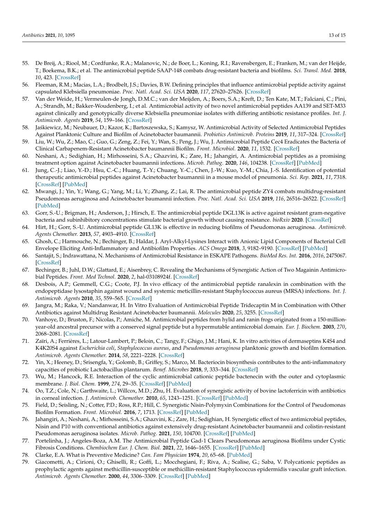- 55. De Breij, A.; Riool, M.; Cordfunke, R.A.; Malanovic, N.; de Boer, L.; Koning, R.I.; Ravensbergen, E.; Franken, M.; van der Heijde, T.; Boekema, B.K.; et al. The antimicrobial peptide SAAP-148 combats drug-resistant bacteria and biofilms. *Sci. Transl. Med.* **2018**, *10*, 423. [\[CrossRef\]](http://doi.org/10.1126/scitranslmed.aan4044)
- 56. Fleeman, R.M.; Macias, L.A.; Brodbelt, J.S.; Davies, B.W. Defining principles that influence antimicrobial peptide activity against capsulated Klebsiella pneumoniae. *Proc. Natl. Acad. Sci. USA* **2020**, *117*, 27620–27626. [\[CrossRef\]](http://doi.org/10.1073/pnas.2007036117)
- 57. Van der Weide, H.; Vermeulen-de Jongh, D.M.C.; van der Meijden, A.; Boers, S.A.; Kreft, D.; Ten Kate, M.T.; Falciani, C.; Pini, A.; Strandh, M.; Bakker-Woudenberg, I.; et al. Antimicrobial activity of two novel antimicrobial peptides AA139 and SET-M33 against clinically and genotypically diverse Klebsiella pneumoniae isolates with differing antibiotic resistance profiles. *Int. J. Antimicrob. Agents* **2019**, *54*, 159–166. [\[CrossRef\]](http://doi.org/10.1016/j.ijantimicag.2019.05.019)
- 58. Ja´skiewicz, M.; Neubauer, D.; Kazor, K.; Bartoszewska, S.; Kamysz, W. Antimicrobial Activity of Selected Antimicrobial Peptides Against Planktonic Culture and Biofilm of Acinetobacter baumannii. *Probiotics Antimicrob. Proteins* **2019**, *11*, 317–324. [\[CrossRef\]](http://doi.org/10.1007/s12602-018-9444-5)
- 59. Liu, W.; Wu, Z.; Mao, C.; Guo, G.; Zeng, Z.; Fei, Y.; Wan, S.; Peng, J.; Wu, J. Antimicrobial Peptide Cec4 Eradicates the Bacteria of Clinical Carbapenem-Resistant Acinetobacter baumannii Biofilm. *Front. Microbiol.* **2020**, *11*, 1532. [\[CrossRef\]](http://doi.org/10.3389/fmicb.2020.01532)
- 60. Neshani, A.; Sedighian, H.; Mirhosseini, S.A.; Ghazvini, K.; Zare, H.; Jahangiri, A. Antimicrobial peptides as a promising treatment option against Acinetobacter baumannii infections. *Microb. Pathog.* **2020**, *146*, 104238. [\[CrossRef\]](http://doi.org/10.1016/j.micpath.2020.104238) [\[PubMed\]](http://www.ncbi.nlm.nih.gov/pubmed/32387392)
- 61. Jung, C.-J.; Liao, Y.-D.; Hsu, C.-C.; Huang, T.-Y.; Chuang, Y.-C.; Chen, J.-W.; Kuo, Y.-M.; Chia, J.-S. Identification of potential therapeutic antimicrobial peptides against Acinetobacter baumannii in a mouse model of pneumonia. *Sci. Rep.* **2021**, *11*, 7318. [\[CrossRef\]](http://doi.org/10.1038/s41598-021-86844-5) [\[PubMed\]](http://www.ncbi.nlm.nih.gov/pubmed/33795739)
- 62. Mwangi, J.; Yin, Y.; Wang, G.; Yang, M.; Li, Y.; Zhang, Z.; Lai, R. The antimicrobial peptide ZY4 combats multidrug-resistant Pseudomonas aeruginosa and Acinetobacter baumannii infection. *Proc. Natl. Acad. Sci. USA* **2019**, *116*, 26516–26522. [\[CrossRef\]](http://doi.org/10.1073/pnas.1909585117) [\[PubMed\]](http://www.ncbi.nlm.nih.gov/pubmed/31843919)
- 63. Gorr, S.-U.; Brigman, H.; Anderson, J.; Hirsch, E. The antimicrobial peptide DGL13K is active against resistant gram-negative bacteria and subinhibitory concentrations stimulate bacterial growth without causing resistance. *bioRxiv* **2020**. [\[CrossRef\]](http://doi.org/10.1101/2020.05.08.085282)
- 64. Hirt, H.; Gorr, S.-U. Antimicrobial peptide GL13K is effective in reducing biofilms of Pseudomonas aeruginosa. *Antimicrob. Agents Chemother.* **2013**, *57*, 4903–4910. [\[CrossRef\]](http://doi.org/10.1128/AAC.00311-13)
- 65. Ghosh, C.; Harmouche, N.; Bechinger, B.; Haldar, J. Aryl-Alkyl-Lysines Interact with Anionic Lipid Components of Bacterial Cell Envelope Eliciting Anti-Inflammatory and Antibiofilm Properties. *ACS Omega* **2018**, *3*, 9182–9190. [\[CrossRef\]](http://doi.org/10.1021/acsomega.8b01052) [\[PubMed\]](http://www.ncbi.nlm.nih.gov/pubmed/31459052)
- 66. Santajit, S.; Indrawattana, N. Mechanisms of Antimicrobial Resistance in ESKAPE Pathogens. *BioMed Res. Int.* **2016**, *2016*, 2475067. [\[CrossRef\]](http://doi.org/10.1155/2016/2475067)
- 67. Bechinger, B.; Juhl, D.W.; Glattard, E.; Aisenbrey, C. Revealing the Mechanisms of Synergistic Action of Two Magainin Antimicrobial Peptides. *Front. Med Technol.* **2020**, *2*, hal-03108924f. [\[CrossRef\]](http://doi.org/10.3389/fmedt.2020.615494)
- 68. Desbois, A.P.; Gemmell, C.G.; Coote, P.J. In vivo efficacy of the antimicrobial peptide ranalexin in combination with the endopeptidase lysostaphin against wound and systemic meticillin-resistant Staphylococcus aureus (MRSA) infections. *Int. J. Antimicrob. Agents* **2010**, *35*, 559–565. [\[CrossRef\]](http://doi.org/10.1016/j.ijantimicag.2010.01.016)
- 69. Jangra, M.; Raka, V.; Nandanwar, H. In Vitro Evaluation of Antimicrobial Peptide Tridecaptin M in Combination with Other Antibiotics against Multidrug Resistant Acinetobacter baumannii. *Molecules* **2020**, *25*, 3255. [\[CrossRef\]](http://doi.org/10.3390/molecules25143255)
- 70. Vanhoye, D.; Bruston, F.; Nicolas, P.; Amiche, M. Antimicrobial peptides from hylid and ranin frogs originated from a 150-millionyear-old ancestral precursor with a conserved signal peptide but a hypermutable antimicrobial domain. *Eur. J. Biochem.* **2003**, *270*, 2068–2081. [\[CrossRef\]](http://doi.org/10.1046/j.1432-1033.2003.03584.x)
- 71. Zaïri, A.; Ferrières, L.; Latour-Lambert, P.; Beloin, C.; Tangy, F.; Ghigo, J.M.; Hani, K. In vitro activities of dermaseptins K4S4 and K4K20S4 against *Escherichia coli*, *Staphylococcus aureus*, and *Pseudomonas aeruginosa* planktonic growth and biofilm formation. *Antimicrob. Agents Chemother.* **2014**, *58*, 2221–2228. [\[CrossRef\]](http://doi.org/10.1128/AAC.02142-13)
- 72. Yin, X.; Heeney, D.; Srisengfa, Y.; Golomb, B.; Griffey, S.; Marco, M. Bacteriocin biosynthesis contributes to the anti-inflammatory capacities of probiotic Lactobacillus plantarum. *Benef. Microbes* **2018**, *9*, 333–344. [\[CrossRef\]](http://doi.org/10.3920/BM2017.0096)
- 73. Wu, M.; Hancock, R.E. Interaction of the cyclic antimicrobial cationic peptide bactenecin with the outer and cytoplasmic membrane. *J. Biol. Chem.* **1999**, *274*, 29–35. [\[CrossRef\]](http://doi.org/10.1074/jbc.274.1.29) [\[PubMed\]](http://www.ncbi.nlm.nih.gov/pubmed/9867806)
- 74. Oo, T.Z.; Cole, N.; Garthwaite, L.; Willcox, M.D.; Zhu, H. Evaluation of synergistic activity of bovine lactoferricin with antibiotics in corneal infection. *J. Antimicrob. Chemother.* **2010**, *65*, 1243–1251. [\[CrossRef\]](http://doi.org/10.1093/jac/dkq106) [\[PubMed\]](http://www.ncbi.nlm.nih.gov/pubmed/20375033)
- 75. Field, D.; Seisling, N.; Cotter, P.D.; Ross, R.P.; Hill, C. Synergistic Nisin-Polymyxin Combinations for the Control of Pseudomonas Biofilm Formation. *Front. Microbiol.* **2016**, *7*, 1713. [\[CrossRef\]](http://doi.org/10.3389/fmicb.2016.01713) [\[PubMed\]](http://www.ncbi.nlm.nih.gov/pubmed/27833601)
- 76. Jahangiri, A.; Neshani, A.; Mirhosseini, S.A.; Ghazvini, K.; Zare, H.; Sedighian, H. Synergistic effect of two antimicrobial peptides, Nisin and P10 with conventional antibiotics against extensively drug-resistant Acinetobacter baumannii and colistin-resistant Pseudomonas aeruginosa isolates. *Microb. Pathog.* **2021**, *150*, 104700. [\[CrossRef\]](http://doi.org/10.1016/j.micpath.2020.104700) [\[PubMed\]](http://www.ncbi.nlm.nih.gov/pubmed/33346078)
- 77. Portelinha, J.; Angeles-Boza, A.M. The Antimicrobial Peptide Gad-1 Clears Pseudomonas aeruginosa Biofilms under Cystic Fibrosis Conditions. *Chembiochem Eur. J. Chem. Biol.* **2021**, *22*, 1646–1655. [\[CrossRef\]](http://doi.org/10.1002/cbic.202000816) [\[PubMed\]](http://www.ncbi.nlm.nih.gov/pubmed/33428273)
- 78. Clarke, E.A. What is Preventive Medicine? *Can. Fam Physician* **1974**, *20*, 65–68. [\[PubMed\]](http://www.ncbi.nlm.nih.gov/pubmed/20469128)
- 79. Giacometti, A.; Cirioni, O.; Ghiselli, R.; Goffi, L.; Mocchegiani, F.; Riva, A.; Scalise, G.; Saba, V. Polycationic peptides as prophylactic agents against methicillin-susceptible or methicillin-resistant Staphylococcus epidermidis vascular graft infection. *Antimicrob. Agents Chemother.* **2000**, *44*, 3306–3309. [\[CrossRef\]](http://doi.org/10.1128/AAC.44.12.3306-3309.2000) [\[PubMed\]](http://www.ncbi.nlm.nih.gov/pubmed/11083632)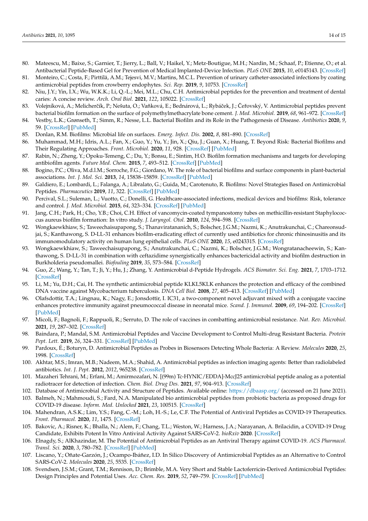- 80. Mateescu, M.; Baixe, S.; Garnier, T.; Jierry, L.; Ball, V.; Haikel, Y.; Metz-Boutigue, M.H.; Nardin, M.; Schaaf, P.; Etienne, O.; et al. Antibacterial Peptide-Based Gel for Prevention of Medical Implanted-Device Infection. *PLoS ONE* **2015**, *10*, e0145143. [\[CrossRef\]](http://doi.org/10.1371/journal.pone.0145143)
- 81. Monteiro, C.; Costa, F.; Pirttilä, A.M.; Tejesvi, M.V.; Martins, M.C.L. Prevention of urinary catheter-associated infections by coating antimicrobial peptides from crowberry endophytes. *Sci. Rep.* **2019**, *9*, 10753. [\[CrossRef\]](http://doi.org/10.1038/s41598-019-47108-5)
- 82. Niu, J.Y.; Yin, I.X.; Wu, W.K.K.; Li, Q.-L.; Mei, M.L.; Chu, C.H. Antimicrobial peptides for the prevention and treatment of dental caries: A concise review. *Arch. Oral Biol.* **2021**, *122*, 105022. [\[CrossRef\]](http://doi.org/10.1016/j.archoralbio.2020.105022)
- 83. Volejníková, A.; Melicherčík, P.; Nešuta, O.; Vaňková, E.; Bednárová, L.; Rybáček, J.; Čeřovský, V. Antimicrobial peptides prevent bacterial biofilm formation on the surface of polymethylmethacrylate bone cement. *J. Med. Microbiol.* **2019**, *68*, 961–972. [\[CrossRef\]](http://doi.org/10.1099/jmm.0.001000)
- 84. Vestby, L.K.; Grønseth, T.; Simm, R.; Nesse, L.L. Bacterial Biofilm and its Role in the Pathogenesis of Disease. *Antibiotics* **2020**, *9*, 59. [\[CrossRef\]](http://doi.org/10.3390/antibiotics9020059) [\[PubMed\]](http://www.ncbi.nlm.nih.gov/pubmed/32028684)
- 85. Donlan, R.M. Biofilms: Microbial life on surfaces. *Emerg. Infect. Dis.* **2002**, *8*, 881–890. [\[CrossRef\]](http://doi.org/10.3201/eid0809.020063)
- 86. Muhammad, M.H.; Idris, A.L.; Fan, X.; Guo, Y.; Yu, Y.; Jin, X.; Qiu, J.; Guan, X.; Huang, T. Beyond Risk: Bacterial Biofilms and Their Regulating Approaches. *Front. Microbiol.* **2020**, *11*, 928. [\[CrossRef\]](http://doi.org/10.3389/fmicb.2020.00928) [\[PubMed\]](http://www.ncbi.nlm.nih.gov/pubmed/32508772)
- 87. Rabin, N.; Zheng, Y.; Opoku-Temeng, C.; Du, Y.; Bonsu, E.; Sintim, H.O. Biofilm formation mechanisms and targets for developing antibiofilm agents. *Future Med. Chem.* **2015**, *7*, 493–512. [\[CrossRef\]](http://doi.org/10.4155/fmc.15.6) [\[PubMed\]](http://www.ncbi.nlm.nih.gov/pubmed/25875875)
- 88. Bogino, P.C.; Oliva, M.d.l.M.; Sorroche, F.G.; Giordano, W. The role of bacterial biofilms and surface components in plant-bacterial associations. *Int. J. Mol. Sci.* **2013**, *14*, 15838–15859. [\[CrossRef\]](http://doi.org/10.3390/ijms140815838) [\[PubMed\]](http://www.ncbi.nlm.nih.gov/pubmed/23903045)
- 89. Galdiero, E.; Lombardi, L.; Falanga, A.; Libralato, G.; Guida, M.; Carotenuto, R. Biofilms: Novel Strategies Based on Antimicrobial Peptides. *Pharmaceutics* **2019**, *11*, 322. [\[CrossRef\]](http://doi.org/10.3390/pharmaceutics11070322) [\[PubMed\]](http://www.ncbi.nlm.nih.gov/pubmed/31295834)
- 90. Percival, S.L.; Suleman, L.; Vuotto, C.; Donelli, G. Healthcare-associated infections, medical devices and biofilms: Risk, tolerance and control. *J. Med. Microbiol.* **2015**, *64*, 323–334. [\[CrossRef\]](http://doi.org/10.1099/jmm.0.000032) [\[PubMed\]](http://www.ncbi.nlm.nih.gov/pubmed/25670813)
- 91. Jang, C.H.; Park, H.; Cho, Y.B.; Choi, C.H. Effect of vancomycin-coated tympanostomy tubes on methicillin-resistant Staphylococcus aureus biofilm formation: In vitro study. *J. Laryngol. Otol.* **2010**, *124*, 594–598. [\[CrossRef\]](http://doi.org/10.1017/S0022215109992672)
- 92. Wongkaewkhiaw, S.; Taweechaisupapong, S.; Thanaviratananich, S.; Bolscher, J.G.M.; Nazmi, K.; Anutrakunchai, C.; Chareonsudjai, S.; Kanthawong, S. D-LL-31 enhances biofilm-eradicating effect of currently used antibiotics for chronic rhinosinusitis and its immunomodulatory activity on human lung epithelial cells. *PLoS ONE* **2020**, *15*, e0243315. [\[CrossRef\]](http://doi.org/10.1371/journal.pone.0243315)
- 93. Wongkaewkhiaw, S.; Taweechaisupapong, S.; Anutrakunchai, C.; Nazmi, K.; Bolscher, J.G.M.; Wongratanacheewin, S.; Kanthawong, S. D-LL-31 in combination with ceftazidime synergistically enhances bactericidal activity and biofilm destruction in Burkholderia pseudomallei. *Biofouling* **2019**, *35*, 573–584. [\[CrossRef\]](http://doi.org/10.1080/08927014.2019.1632835)
- 94. Guo, Z.; Wang, Y.; Tan, T.; Ji, Y.; Hu, J.; Zhang, Y. Antimicrobial d-Peptide Hydrogels. *ACS Biomater. Sci. Eng.* **2021**, *7*, 1703–1712. [\[CrossRef\]](http://doi.org/10.1021/acsbiomaterials.1c00187)
- 95. Li, M.; Yu, D.H.; Cai, H. The synthetic antimicrobial peptide KLKL5KLK enhances the protection and efficacy of the combined DNA vaccine against Mycobacterium tuberculosis. *DNA Cell Biol.* **2008**, *27*, 405–413. [\[CrossRef\]](http://doi.org/10.1089/dna.2007.0693) [\[PubMed\]](http://www.ncbi.nlm.nih.gov/pubmed/18694298)
- 96. Olafsdottir, T.A.; Lingnau, K.; Nagy, E.; Jonsdottir, I. IC31, a two-component novel adjuvant mixed with a conjugate vaccine enhances protective immunity against pneumococcal disease in neonatal mice. *Scand. J. Immunol.* **2009**, *69*, 194–202. [\[CrossRef\]](http://doi.org/10.1111/j.1365-3083.2008.02225.x) [\[PubMed\]](http://www.ncbi.nlm.nih.gov/pubmed/19281531)
- 97. Micoli, F.; Bagnoli, F.; Rappuoli, R.; Serruto, D. The role of vaccines in combatting antimicrobial resistance. *Nat. Rev. Microbiol.* **2021**, *19*, 287–302. [\[CrossRef\]](http://doi.org/10.1038/s41579-020-00506-3)
- 98. Baindara, P.; Mandal, S.M. Antimicrobial Peptides and Vaccine Development to Control Multi-drug Resistant Bacteria. *Protein Pept. Lett.* **2019**, *26*, 324–331. [\[CrossRef\]](http://doi.org/10.2174/0929866526666190228162751) [\[PubMed\]](http://www.ncbi.nlm.nih.gov/pubmed/31237198)
- 99. Pardoux, É.; Boturyn, D. Antimicrobial Peptides as Probes in Biosensors Detecting Whole Bacteria: A Review. *Molecules* **2020**, *25*, 1998. [\[CrossRef\]](http://doi.org/10.3390/molecules25081998)
- 100. Akhtar, M.S.; Imran, M.B.; Nadeem, M.A.; Shahid, A. Antimicrobial peptides as infection imaging agents: Better than radiolabeled antibiotics. *Int. J. Pept.* **2012**, *2012*, 965238. [\[CrossRef\]](http://doi.org/10.1155/2012/965238)
- 101. Mazaheri Tehrani, M.; Erfani, M.; Amirmozafari, N. [(99m) Tc-HYNIC/EDDA]-MccJ25 antimicrobial peptide analog as a potential radiotracer for detection of infection. *Chem. Biol. Drug Des.* **2021**, *97*, 904–913. [\[CrossRef\]](http://doi.org/10.1111/cbdd.13817)
- 102. Database of Antimicrobial Activity and Structure of Peptides. Available online: <https://dbaasp.org/> (accessed on 21 June 2021).
- 103. Balmeh, N.; Mahmoudi, S.; Fard, N.A. Manipulated bio antimicrobial peptides from probiotic bacteria as proposed drugs for COVID-19 disease. *Inform. Med. Unlocked* **2021**, *23*, 100515. [\[CrossRef\]](http://doi.org/10.1016/j.imu.2021.100515)
- 104. Mahendran, A.S.K.; Lim, Y.S.; Fang, C.-M.; Loh, H.-S.; Le, C.F. The Potential of Antiviral Peptides as COVID-19 Therapeutics. *Front. Pharmacol.* **2020**, *11*, 1475. [\[CrossRef\]](http://doi.org/10.3389/fphar.2020.575444)
- 105. Bakovic, A.; Risner, K.; Bhalla, N.; Alem, F.; Chang, T.L.; Weston, W.; Harness, J.A.; Narayanan, A. Brilacidin, a COVID-19 Drug Candidate, Exhibits Potent In Vitro Antiviral Activity Against SARS-CoV-2. *bioRxiv* **2020**. [\[CrossRef\]](http://doi.org/10.1101/2020.10.29.352450)
- 106. Elnagdy, S.; AlKhazindar, M. The Potential of Antimicrobial Peptides as an Antiviral Therapy against COVID-19. *ACS Pharmacol. Transl. Sci.* **2020**, *3*, 780–782. [\[CrossRef\]](http://doi.org/10.1021/acsptsci.0c00059) [\[PubMed\]](http://www.ncbi.nlm.nih.gov/pubmed/32821884)
- 107. Liscano, Y.; Oñate-Garzón, J.; Ocampo-Ibáñez, I.D. In Silico Discovery of Antimicrobial Peptides as an Alternative to Control SARS-CoV-2. *Molecules* **2020**, *25*, 5535. [\[CrossRef\]](http://doi.org/10.3390/molecules25235535)
- 108. Svendsen, J.S.M.; Grant, T.M.; Rennison, D.; Brimble, M.A. Very Short and Stable Lactoferricin-Derived Antimicrobial Peptides: Design Principles and Potential Uses. *Acc. Chem. Res.* **2019**, *52*, 749–759. [\[CrossRef\]](http://doi.org/10.1021/acs.accounts.8b00624) [\[PubMed\]](http://www.ncbi.nlm.nih.gov/pubmed/30829472)